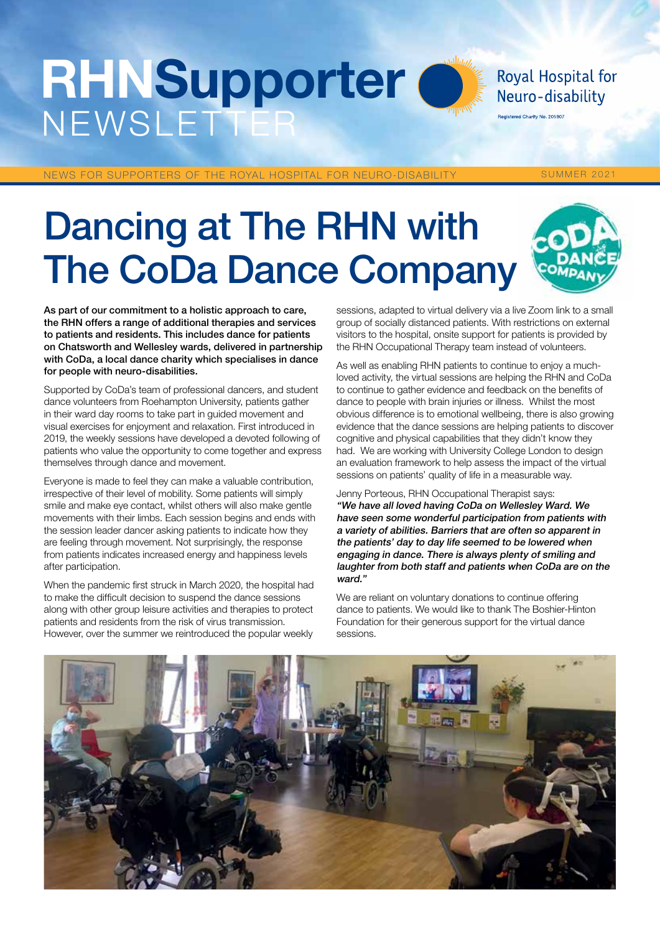# **RHNSupporter NEWSLETTE**

Royal Hospital for Neuro-disability

Registered Charity No. 205907

NEWS FOR SUPPORTERS OF THE ROYAL HOSPITAL FOR NEURO-DISABILITY SUMMER 2021

# Dancing at The RHN with The CoDa Dance Company



As part of our commitment to a holistic approach to care, the RHN offers a range of additional therapies and services to patients and residents. This includes dance for patients on Chatsworth and Wellesley wards, delivered in partnership with CoDa, a local dance charity which specialises in dance for people with neuro-disabilities.

Supported by CoDa's team of professional dancers, and student dance volunteers from Roehampton University, patients gather in their ward day rooms to take part in guided movement and visual exercises for enjoyment and relaxation. First introduced in 2019, the weekly sessions have developed a devoted following of patients who value the opportunity to come together and express themselves through dance and movement.

Everyone is made to feel they can make a valuable contribution, irrespective of their level of mobility. Some patients will simply smile and make eye contact, whilst others will also make gentle movements with their limbs. Each session begins and ends with the session leader dancer asking patients to indicate how they are feeling through movement. Not surprisingly, the response from patients indicates increased energy and happiness levels after participation.

When the pandemic first struck in March 2020, the hospital had to make the difficult decision to suspend the dance sessions along with other group leisure activities and therapies to protect patients and residents from the risk of virus transmission. However, over the summer we reintroduced the popular weekly

sessions, adapted to virtual delivery via a live Zoom link to a small group of socially distanced patients. With restrictions on external visitors to the hospital, onsite support for patients is provided by the RHN Occupational Therapy team instead of volunteers.

As well as enabling RHN patients to continue to enjoy a muchloved activity, the virtual sessions are helping the RHN and CoDa to continue to gather evidence and feedback on the benefits of dance to people with brain injuries or illness. Whilst the most obvious difference is to emotional wellbeing, there is also growing evidence that the dance sessions are helping patients to discover cognitive and physical capabilities that they didn't know they had. We are working with University College London to design an evaluation framework to help assess the impact of the virtual sessions on patients' quality of life in a measurable way.

Jenny Porteous, RHN Occupational Therapist says: "We have all loved having CoDa on Wellesley Ward. We have seen some wonderful participation from patients with a variety of abilities. Barriers that are often so apparent in the patients' day to day life seemed to be lowered when engaging in dance. There is always plenty of smiling and laughter from both staff and patients when CoDa are on the ward."

We are reliant on voluntary donations to continue offering dance to patients. We would like to thank The Boshier-Hinton Foundation for their generous support for the virtual dance sessions.

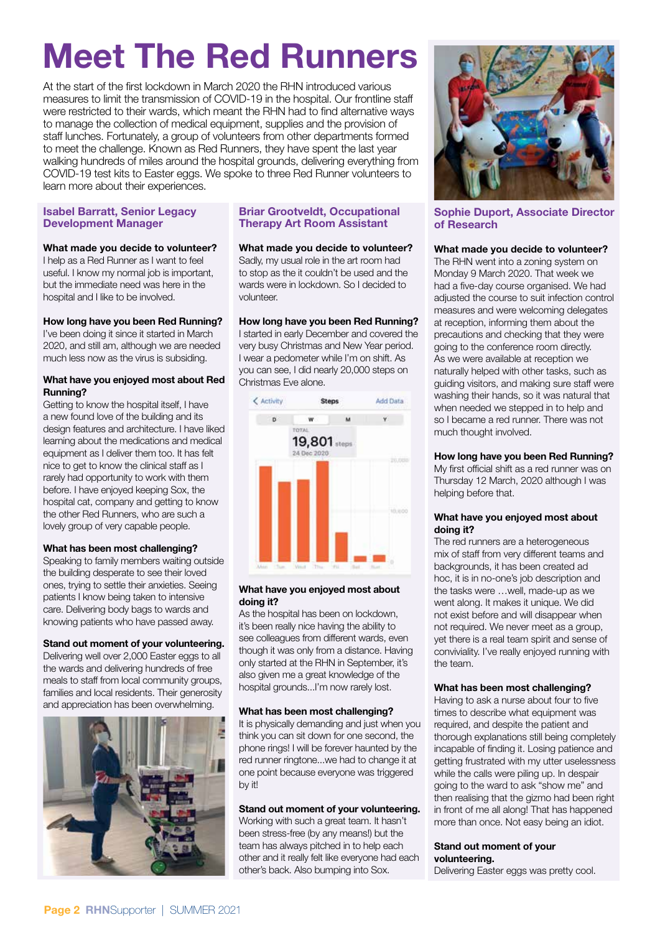# Meet The Red Runners

At the start of the first lockdown in March 2020 the RHN introduced various measures to limit the transmission of COVID-19 in the hospital. Our frontline staff were restricted to their wards, which meant the RHN had to find alternative ways to manage the collection of medical equipment, supplies and the provision of staff lunches. Fortunately, a group of volunteers from other departments formed to meet the challenge. Known as Red Runners, they have spent the last year walking hundreds of miles around the hospital grounds, delivering everything from COVID-19 test kits to Easter eggs. We spoke to three Red Runner volunteers to learn more about their experiences.

#### Isabel Barratt, Senior Legacy Development Manager

#### What made you decide to volunteer?

I help as a Red Runner as I want to feel useful. I know my normal job is important, but the immediate need was here in the hospital and I like to be involved.

#### How long have you been Red Running?

I've been doing it since it started in March 2020, and still am, although we are needed much less now as the virus is subsiding.

#### What have you enjoyed most about Red Running?

Getting to know the hospital itself, I have a new found love of the building and its design features and architecture. I have liked learning about the medications and medical equipment as I deliver them too. It has felt nice to get to know the clinical staff as I rarely had opportunity to work with them before. I have enjoyed keeping Sox, the hospital cat, company and getting to know the other Red Runners, who are such a lovely group of very capable people.

#### What has been most challenging?

Speaking to family members waiting outside the building desperate to see their loved ones, trying to settle their anxieties. Seeing patients I know being taken to intensive care. Delivering body bags to wards and knowing patients who have passed away.

#### Stand out moment of your volunteering.

Delivering well over 2,000 Easter eggs to all the wards and delivering hundreds of free meals to staff from local community groups, families and local residents. Their generosity and appreciation has been overwhelming.



#### Briar Grootveldt, Occupational Therapy Art Room Assistant

#### What made you decide to volunteer?

Sadly, my usual role in the art room had to stop as the it couldn't be used and the wards were in lockdown. So I decided to volunteer.

#### How long have you been Red Running?

I started in early December and covered the very busy Christmas and New Year period. I wear a pedometer while I'm on shift. As you can see, I did nearly 20,000 steps on Christmas Eve alone.



#### What have you enjoyed most about doing it?

As the hospital has been on lockdown, it's been really nice having the ability to see colleagues from different wards, even though it was only from a distance. Having only started at the RHN in September, it's also given me a great knowledge of the hospital grounds...I'm now rarely lost.

#### What has been most challenging?

It is physically demanding and just when you think you can sit down for one second, the phone rings! I will be forever haunted by the red runner ringtone...we had to change it at one point because everyone was triggered by it!

#### Stand out moment of your volunteering.

Working with such a great team. It hasn't been stress-free (by any means!) but the team has always pitched in to help each other and it really felt like everyone had each other's back. Also bumping into Sox.



#### Sophie Duport, Associate Director of Research

#### What made you decide to volunteer?

The RHN went into a zoning system on Monday 9 March 2020. That week we had a five-day course organised. We had adjusted the course to suit infection control measures and were welcoming delegates at reception, informing them about the precautions and checking that they were going to the conference room directly. As we were available at reception we naturally helped with other tasks, such as guiding visitors, and making sure staff were washing their hands, so it was natural that when needed we stepped in to help and so I became a red runner. There was not much thought involved.

#### How long have you been Red Running?

My first official shift as a red runner was on Thursday 12 March, 2020 although I was helping before that.

#### What have you enjoyed most about doing it?

The red runners are a heterogeneous mix of staff from very different teams and backgrounds, it has been created ad hoc, it is in no-one's job description and the tasks were …well, made-up as we went along. It makes it unique. We did not exist before and will disappear when not required. We never meet as a group, yet there is a real team spirit and sense of conviviality. I've really enjoyed running with the team.

#### What has been most challenging?

Having to ask a nurse about four to five times to describe what equipment was required, and despite the patient and thorough explanations still being completely incapable of finding it. Losing patience and getting frustrated with my utter uselessness while the calls were piling up. In despair going to the ward to ask "show me" and then realising that the gizmo had been right in front of me all along! That has happened more than once. Not easy being an idiot.

#### Stand out moment of your volunteering.

Delivering Easter eggs was pretty cool.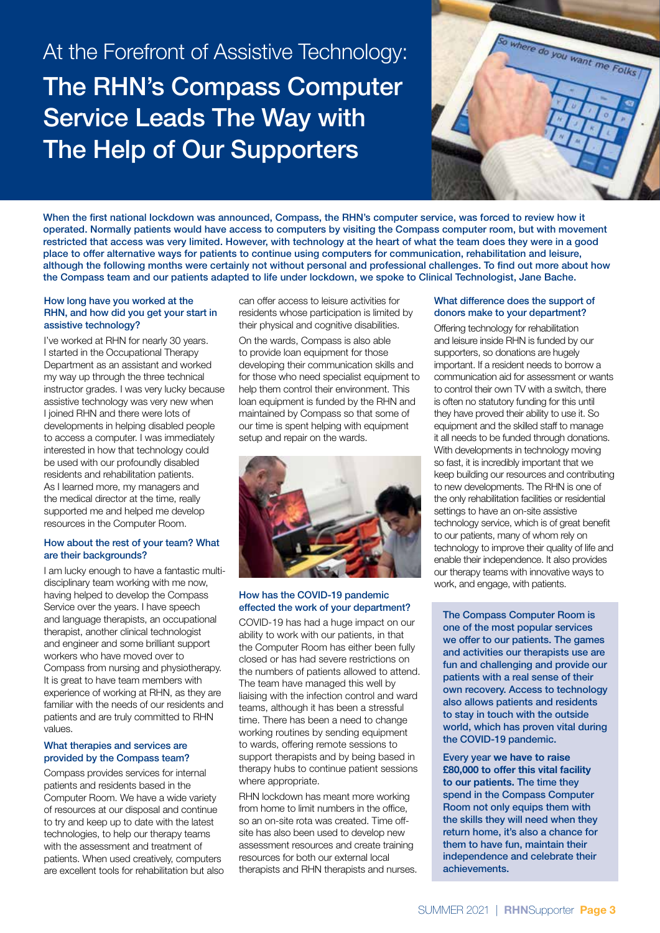### At the Forefront of Assistive Technology: The RHN's Compass Computer Service Leads The Way with The Help of Our Supporters



When the first national lockdown was announced, Compass, the RHN's computer service, was forced to review how it operated. Normally patients would have access to computers by visiting the Compass computer room, but with movement restricted that access was very limited. However, with technology at the heart of what the team does they were in a good place to offer alternative ways for patients to continue using computers for communication, rehabilitation and leisure, although the following months were certainly not without personal and professional challenges. To find out more about how the Compass team and our patients adapted to life under lockdown, we spoke to Clinical Technologist, Jane Bache.

#### How long have you worked at the RHN, and how did you get your start in assistive technology?

I've worked at RHN for nearly 30 years. I started in the Occupational Therapy Department as an assistant and worked my way up through the three technical instructor grades. I was very lucky because assistive technology was very new when I joined RHN and there were lots of developments in helping disabled people to access a computer. I was immediately interested in how that technology could be used with our profoundly disabled residents and rehabilitation patients. As I learned more, my managers and the medical director at the time, really supported me and helped me develop resources in the Computer Room.

#### How about the rest of your team? What are their backgrounds?

I am lucky enough to have a fantastic multidisciplinary team working with me now, having helped to develop the Compass Service over the years. I have speech and language therapists, an occupational therapist, another clinical technologist and engineer and some brilliant support workers who have moved over to Compass from nursing and physiotherapy. It is great to have team members with experience of working at RHN, as they are familiar with the needs of our residents and patients and are truly committed to RHN values.

#### What therapies and services are provided by the Compass team?

Compass provides services for internal patients and residents based in the Computer Room. We have a wide variety of resources at our disposal and continue to try and keep up to date with the latest technologies, to help our therapy teams with the assessment and treatment of patients. When used creatively, computers are excellent tools for rehabilitation but also can offer access to leisure activities for residents whose participation is limited by their physical and cognitive disabilities.

On the wards, Compass is also able to provide loan equipment for those developing their communication skills and for those who need specialist equipment to help them control their environment. This loan equipment is funded by the RHN and maintained by Compass so that some of our time is spent helping with equipment setup and repair on the wards.



#### How has the COVID-19 pandemic effected the work of your department?

COVID-19 has had a huge impact on our ability to work with our patients, in that the Computer Room has either been fully closed or has had severe restrictions on the numbers of patients allowed to attend. The team have managed this well by liaising with the infection control and ward teams, although it has been a stressful time. There has been a need to change working routines by sending equipment to wards, offering remote sessions to support therapists and by being based in therapy hubs to continue patient sessions where appropriate.

RHN lockdown has meant more working from home to limit numbers in the office, so an on-site rota was created. Time offsite has also been used to develop new assessment resources and create training resources for both our external local therapists and RHN therapists and nurses.

#### What difference does the support of donors make to your department?

Offering technology for rehabilitation and leisure inside RHN is funded by our supporters, so donations are hugely important. If a resident needs to borrow a communication aid for assessment or wants to control their own TV with a switch, there is often no statutory funding for this until they have proved their ability to use it. So equipment and the skilled staff to manage it all needs to be funded through donations. With developments in technology moving so fast, it is incredibly important that we keep building our resources and contributing to new developments. The RHN is one of the only rehabilitation facilities or residential settings to have an on-site assistive technology service, which is of great benefit to our patients, many of whom rely on technology to improve their quality of life and enable their independence. It also provides our therapy teams with innovative ways to work, and engage, with patients.

The Compass Computer Room is one of the most popular services we offer to our patients. The games and activities our therapists use are fun and challenging and provide our patients with a real sense of their own recovery. Access to technology also allows patients and residents to stay in touch with the outside world, which has proven vital during the COVID-19 pandemic.

Every year we have to raise £80,000 to offer this vital facility to our patients. The time they spend in the Compass Computer Room not only equips them with the skills they will need when they return home, it's also a chance for them to have fun, maintain their independence and celebrate their achievements.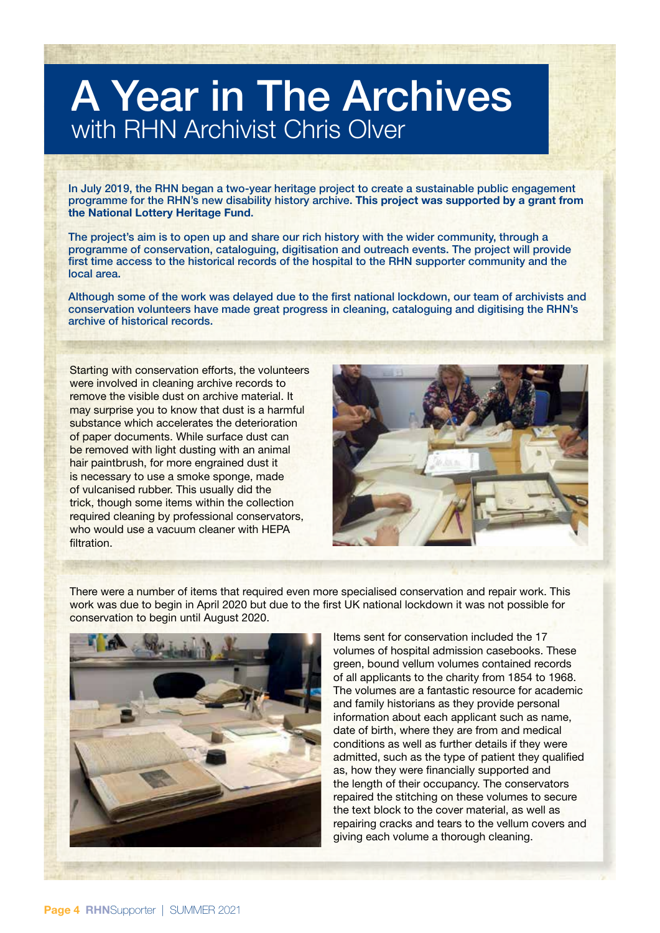## A Year in The Archives with RHN Archivist Chris Olver

In July 2019, the RHN began a two-year heritage project to create a sustainable public engagement programme for the RHN's new disability history archive. This project was supported by a grant from the National Lottery Heritage Fund.

The project's aim is to open up and share our rich history with the wider community, through a programme of conservation, cataloguing, digitisation and outreach events. The project will provide first time access to the historical records of the hospital to the RHN supporter community and the local area.

Although some of the work was delayed due to the first national lockdown, our team of archivists and conservation volunteers have made great progress in cleaning, cataloguing and digitising the RHN's archive of historical records.

Starting with conservation efforts, the volunteers were involved in cleaning archive records to remove the visible dust on archive material. It may surprise you to know that dust is a harmful substance which accelerates the deterioration of paper documents. While surface dust can be removed with light dusting with an animal hair paintbrush, for more engrained dust it is necessary to use a smoke sponge, made of vulcanised rubber. This usually did the trick, though some items within the collection required cleaning by professional conservators, who would use a vacuum cleaner with HEPA **filtration** 



There were a number of items that required even more specialised conservation and repair work. This work was due to begin in April 2020 but due to the first UK national lockdown it was not possible for conservation to begin until August 2020.



Items sent for conservation included the 17 volumes of hospital admission casebooks. These green, bound vellum volumes contained records of all applicants to the charity from 1854 to 1968. The volumes are a fantastic resource for academic and family historians as they provide personal information about each applicant such as name, date of birth, where they are from and medical conditions as well as further details if they were admitted, such as the type of patient they qualified as, how they were financially supported and the length of their occupancy. The conservators repaired the stitching on these volumes to secure the text block to the cover material, as well as repairing cracks and tears to the vellum covers and giving each volume a thorough cleaning.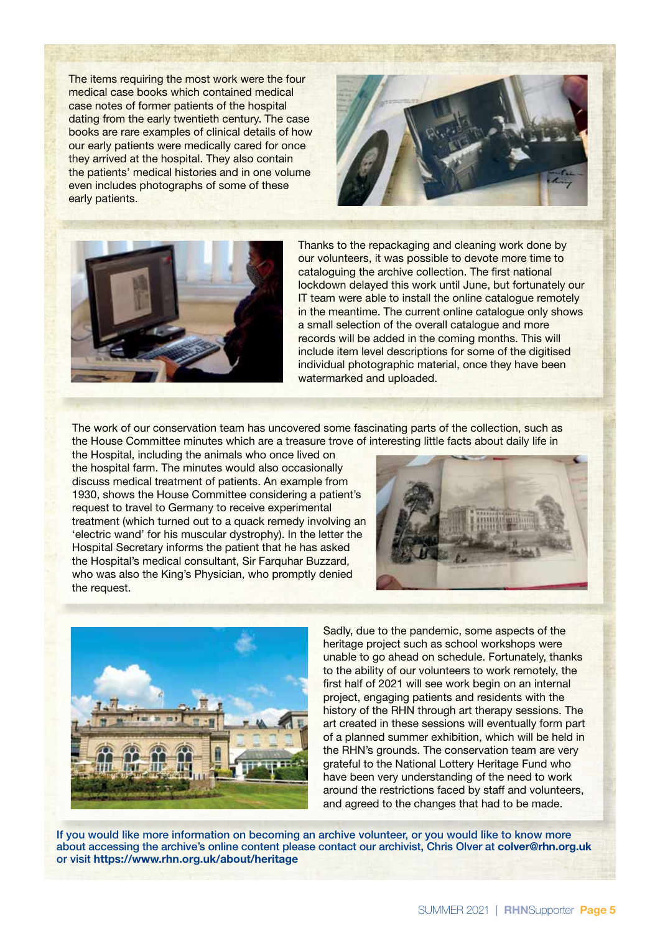The items requiring the most work were the four medical case books which contained medical case notes of former patients of the hospital dating from the early twentieth century. The case books are rare examples of clinical details of how our early patients were medically cared for once they arrived at the hospital. They also contain the patients' medical histories and in one volume even includes photographs of some of these early patients.





Thanks to the repackaging and cleaning work done by our volunteers, it was possible to devote more time to cataloguing the archive collection. The first national lockdown delayed this work until June, but fortunately our IT team were able to install the online catalogue remotely in the meantime. The current online catalogue only shows a small selection of the overall catalogue and more records will be added in the coming months. This will include item level descriptions for some of the digitised individual photographic material, once they have been watermarked and uploaded.

The work of our conservation team has uncovered some fascinating parts of the collection, such as the House Committee minutes which are a treasure trove of interesting little facts about daily life in

the Hospital, including the animals who once lived on the hospital farm. The minutes would also occasionally discuss medical treatment of patients. An example from 1930, shows the House Committee considering a patient's request to travel to Germany to receive experimental treatment (which turned out to a quack remedy involving an 'electric wand' for his muscular dystrophy). In the letter the Hospital Secretary informs the patient that he has asked the Hospital's medical consultant, Sir Farquhar Buzzard, who was also the King's Physician, who promptly denied the request.





Sadly, due to the pandemic, some aspects of the heritage project such as school workshops were unable to go ahead on schedule. Fortunately, thanks to the ability of our volunteers to work remotely, the first half of 2021 will see work begin on an internal project, engaging patients and residents with the history of the RHN through art therapy sessions. The art created in these sessions will eventually form part of a planned summer exhibition, which will be held in the RHN's grounds. The conservation team are very grateful to the National Lottery Heritage Fund who have been very understanding of the need to work around the restrictions faced by staff and volunteers, and agreed to the changes that had to be made.

If you would like more information on becoming an archive volunteer, or you would like to know more about accessing the archive's online content please contact our archivist, Chris Olver at colver@rhn.org.uk or visit https://www.rhn.org.uk/about/heritage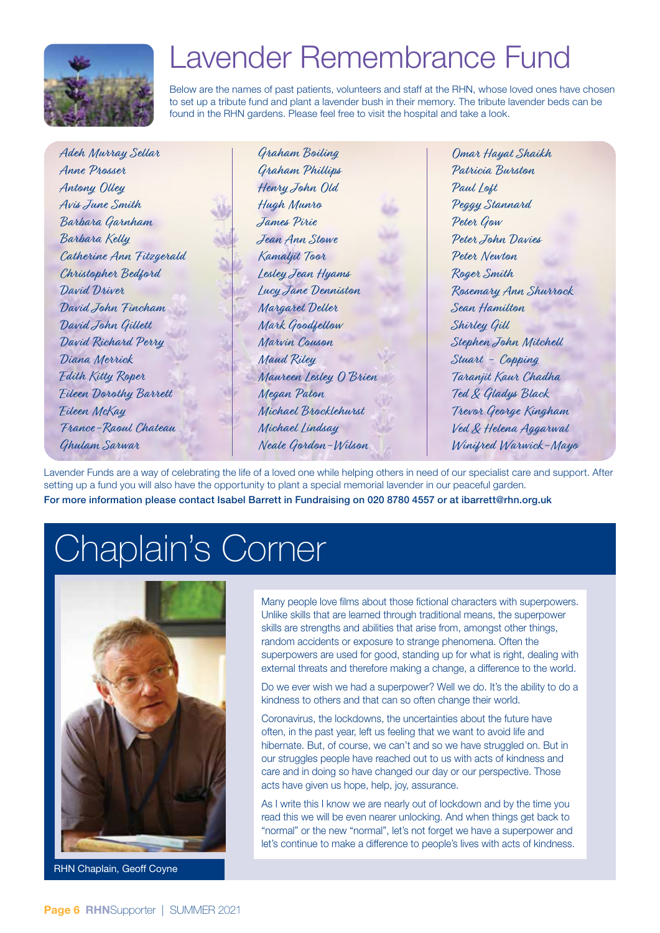

## Lavender Remembrance Fund

Below are the names of past patients, volunteers and staff at the RHN, whose loved ones have chosen to set up a tribute fund and plant a lavender bush in their memory. The tribute lavender beds can be found in the RHN gardens. Please feel free to visit the hospital and take a look.

| Adeh Murray Sellar            | Graham Boiling         | Omar Hayat Shaikh     |
|-------------------------------|------------------------|-----------------------|
| Anne Prosser                  | Graham Phillips        | Patricia Burston      |
| Antony Olley                  | Henry John Old         | Paul Loft             |
| Avis June Smith               | Hugh Munro             | Peggy Stannard        |
| Barbara Garnham               | James Pirie            | Peter Gow             |
| Barbara Kelly                 | Jean Ann Stowe         | Peter John Davies     |
| Catherine Ann Fitzgerald      | Kamaljit Toor          | Peter Newton          |
| Christopher Bedford           | Lesley Jean Hyams      | Roger Smith           |
| David Driver                  | Lucy Jane Denniston    | Rosemary Ann Shurrock |
| David John Fincham            | Margaret Deller        | Sean Hamilton         |
| David John Gillett            | Mark Goodfellow        | Shirley Gill          |
| David Richard Perry           | Marvin Couson          | Stephen John Mitchell |
| Diana Merrick                 | Mand Riley             | Stuart - Copping      |
| Edith Kitty Roper             | Maureen Lesley O'Brien | Taranjit Kaur Chadha  |
| <b>Eileen Dorothy Barrett</b> | Megan Paton            | Ted & Gladys Black    |
| Eileen McKay                  | Michael Brocklehurst   | Trevor George Kingham |
| France-Raoul Chateau          | Michael Lindsay        | Ved & Helena Aggarwal |
| Ghulam Sarwar                 | Neale Gordon-Wilson    | Winifred Warwick-Mayo |

Lavender Funds are a way of celebrating the life of a loved one while helping others in need of our specialist care and support. After setting up a fund you will also have the opportunity to plant a special memorial lavender in our peaceful garden. For more information please contact Isabel Barrett in Fundraising on 020 8780 4557 or at ibarrett@rhn.org.uk

## Chaplain's Corner



RHN Chaplain, Geoff Coyne

Many people love films about those fictional characters with superpowers. Unlike skills that are learned through traditional means, the superpower skills are strengths and abilities that arise from, amongst other things, random accidents or exposure to strange phenomena. Often the superpowers are used for good, standing up for what is right, dealing with external threats and therefore making a change, a difference to the world.

Do we ever wish we had a superpower? Well we do. It's the ability to do a kindness to others and that can so often change their world.

Coronavirus, the lockdowns, the uncertainties about the future have often, in the past year, left us feeling that we want to avoid life and hibernate. But, of course, we can't and so we have struggled on. But in our struggles people have reached out to us with acts of kindness and care and in doing so have changed our day or our perspective. Those acts have given us hope, help, joy, assurance.

As I write this I know we are nearly out of lockdown and by the time you read this we will be even nearer unlocking. And when things get back to "normal" or the new "normal", let's not forget we have a superpower and let's continue to make a difference to people's lives with acts of kindness.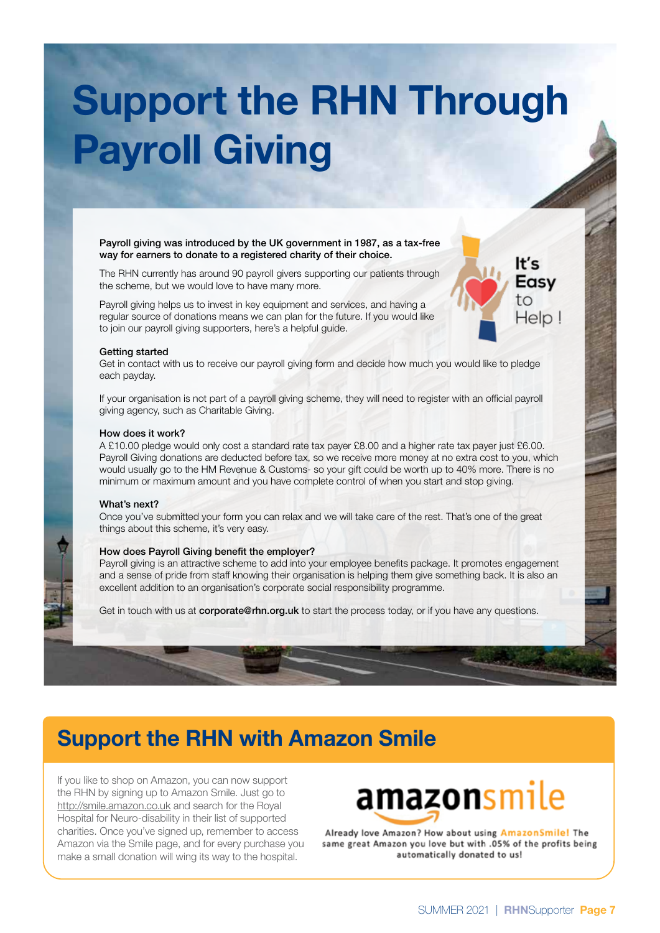# Support the RHN Through Payroll Giving

#### Payroll giving was introduced by the UK government in 1987, as a tax-free way for earners to donate to a registered charity of their choice.

The RHN currently has around 90 payroll givers supporting our patients through the scheme, but we would love to have many more.

Payroll giving helps us to invest in key equipment and services, and having a regular source of donations means we can plan for the future. If you would like to join our payroll giving supporters, here's a helpful guide.

#### Getting started

Get in contact with us to receive our payroll giving form and decide how much you would like to pledge each payday.

If your organisation is not part of a payroll giving scheme, they will need to register with an official payroll giving agency, such as Charitable Giving.

#### How does it work?

A £10.00 pledge would only cost a standard rate tax payer £8.00 and a higher rate tax payer just £6.00. Payroll Giving donations are deducted before tax, so we receive more money at no extra cost to you, which would usually go to the HM Revenue & Customs- so your gift could be worth up to 40% more. There is no minimum or maximum amount and you have complete control of when you start and stop giving.

#### What's next?

Once you've submitted your form you can relax and we will take care of the rest. That's one of the great things about this scheme, it's very easy.

#### How does Payroll Giving benefit the employer?

Payroll giving is an attractive scheme to add into your employee benefits package. It promotes engagement and a sense of pride from staff knowing their organisation is helping them give something back. It is also an excellent addition to an organisation's corporate social responsibility programme.

Get in touch with us at corporate@rhn.org.uk to start the process today, or if you have any questions.

### Support the RHN with Amazon Smile

If you like to shop on Amazon, you can now support the RHN by signing up to Amazon Smile. Just go to http://smile.amazon.co.uk and search for the Royal Hospital for Neuro-disability in their list of supported charities. Once you've signed up, remember to access Amazon via the Smile page, and for every purchase you make a small donation will wing its way to the hospital.

## **amazon**smile

Already love Amazon? How about using AmazonSmile! The same great Amazon you love but with .05% of the profits being automatically donated to us!

lt's Easy to

Help!